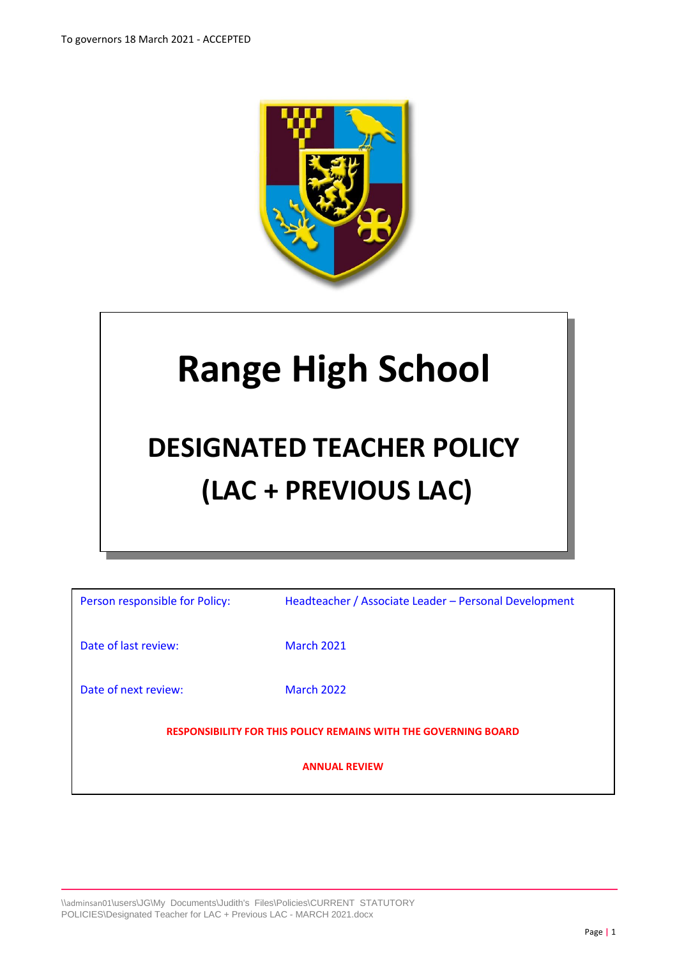

# **Range High School**

## **DESIGNATED TEACHER POLICY (LAC + PREVIOUS LAC)**

| Person responsible for Policy:                                         | Headteacher / Associate Leader - Personal Development |  |
|------------------------------------------------------------------------|-------------------------------------------------------|--|
| Date of last review:                                                   | <b>March 2021</b>                                     |  |
| Date of next review:                                                   | <b>March 2022</b>                                     |  |
| <b>RESPONSIBILITY FOR THIS POLICY REMAINS WITH THE GOVERNING BOARD</b> |                                                       |  |
| <b>ANNUAL REVIEW</b>                                                   |                                                       |  |
|                                                                        |                                                       |  |

\\adminsan01\users\JG\My Documents\Judith's Files\Policies\CURRENT STATUTORY POLICIES\Designated Teacher for LAC + Previous LAC - MARCH 2021.docx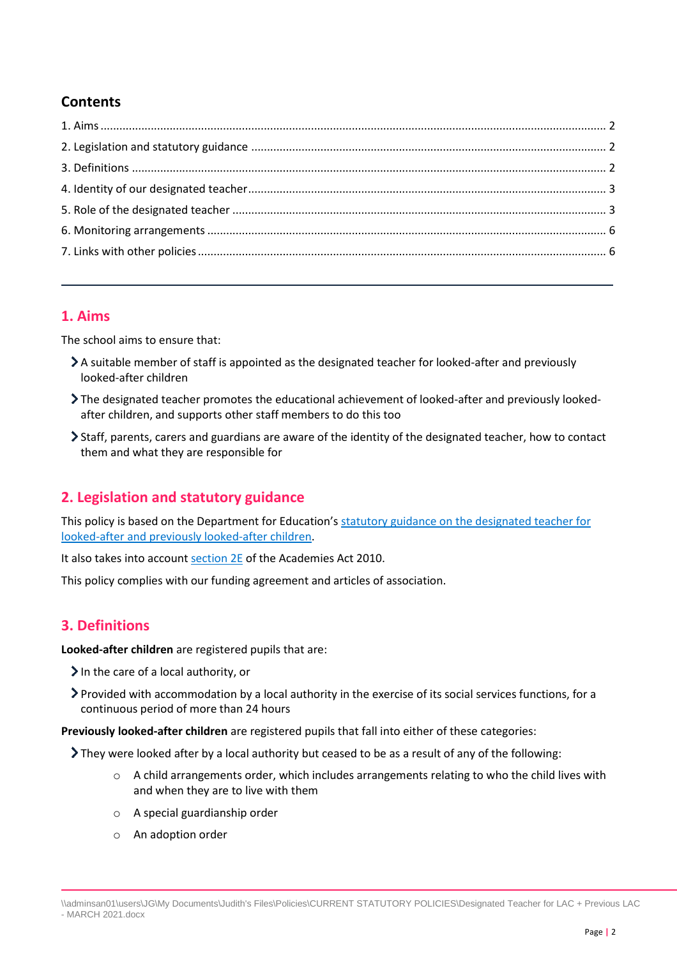## **Contents**

#### <span id="page-1-0"></span>**1. Aims**

The school aims to ensure that:

- A suitable member of staff is appointed as the designated teacher for looked-after and previously looked-after children
- The designated teacher promotes the educational achievement of looked-after and previously lookedafter children, and supports other staff members to do this too
- Staff, parents, carers and guardians are aware of the identity of the designated teacher, how to contact them and what they are responsible for

## <span id="page-1-1"></span>**2. Legislation and statutory guidance**

This policy is based on the Department for Education's [statutory guidance on the designated teacher for](https://www.gov.uk/government/publications/designated-teacher-for-looked-after-children)  [looked-after and previously looked-after children.](https://www.gov.uk/government/publications/designated-teacher-for-looked-after-children)

It also takes into account [section 2E](http://www.legislation.gov.uk/ukpga/2010/32/section/2E) of the Academies Act 2010.

This policy complies with our funding agreement and articles of association.

## <span id="page-1-2"></span>**3. Definitions**

**Looked-after children** are registered pupils that are:

- $\sum$  In the care of a local authority, or
- Provided with accommodation by a local authority in the exercise of its social services functions, for a continuous period of more than 24 hours

**Previously looked-after children** are registered pupils that fall into either of these categories:

 $\sum$  They were looked after by a local authority but ceased to be as a result of any of the following:

- $\circ$  A child arrangements order, which includes arrangements relating to who the child lives with and when they are to live with them
- o A special guardianship order
- o An adoption order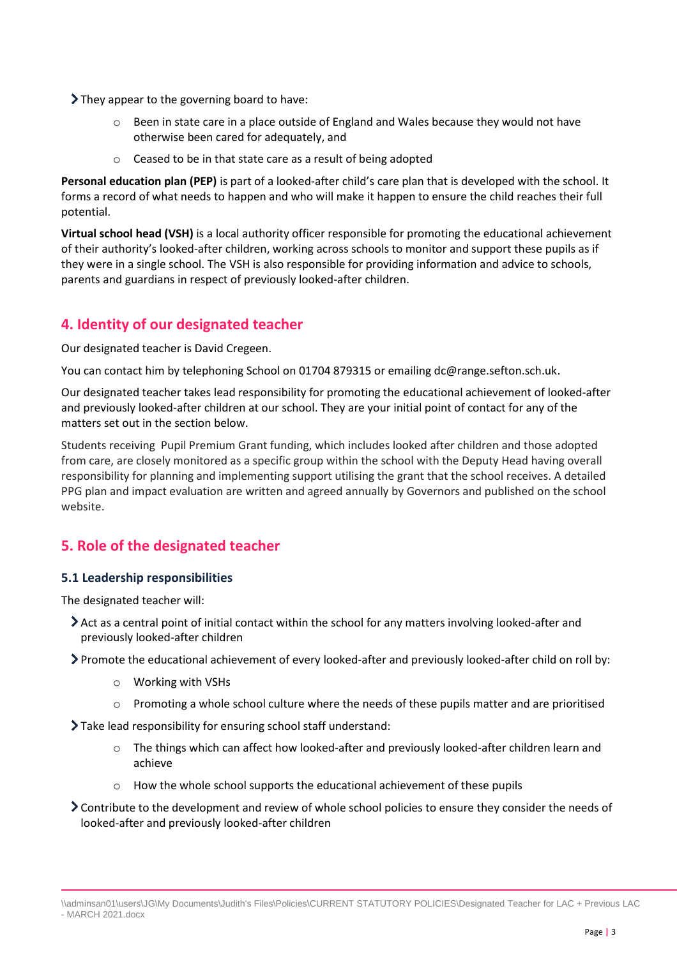> They appear to the governing board to have:

- o Been in state care in a place outside of England and Wales because they would not have otherwise been cared for adequately, and
- o Ceased to be in that state care as a result of being adopted

**Personal education plan (PEP)** is part of a looked-after child's care plan that is developed with the school. It forms a record of what needs to happen and who will make it happen to ensure the child reaches their full potential.

**Virtual school head (VSH)** is a local authority officer responsible for promoting the educational achievement of their authority's looked-after children, working across schools to monitor and support these pupils as if they were in a single school. The VSH is also responsible for providing information and advice to schools, parents and guardians in respect of previously looked-after children.

## <span id="page-2-0"></span>**4. Identity of our designated teacher**

Our designated teacher is David Cregeen.

You can contact him by telephoning School on 01704 879315 or emailing dc@range.sefton.sch.uk.

Our designated teacher takes lead responsibility for promoting the educational achievement of looked-after and previously looked-after children at our school. They are your initial point of contact for any of the matters set out in the section below.

Students receiving Pupil Premium Grant funding, which includes looked after children and those adopted from care, are closely monitored as a specific group within the school with the Deputy Head having overall responsibility for planning and implementing support utilising the grant that the school receives. A detailed PPG plan and impact evaluation are written and agreed annually by Governors and published on the school website.

## <span id="page-2-1"></span>**5. Role of the designated teacher**

#### **5.1 Leadership responsibilities**

The designated teacher will:

- Act as a central point of initial contact within the school for any matters involving looked-after and previously looked-after children
- Promote the educational achievement of every looked-after and previously looked-after child on roll by:
	- o Working with VSHs
	- $\circ$  Promoting a whole school culture where the needs of these pupils matter and are prioritised
- Take lead responsibility for ensuring school staff understand:
	- o The things which can affect how looked-after and previously looked-after children learn and achieve
	- o How the whole school supports the educational achievement of these pupils
- Contribute to the development and review of whole school policies to ensure they consider the needs of looked-after and previously looked-after children

<sup>\\</sup>adminsan01\users\JG\My Documents\Judith's Files\Policies\CURRENT STATUTORY POLICIES\Designated Teacher for LAC + Previous LAC - MARCH 2021.docx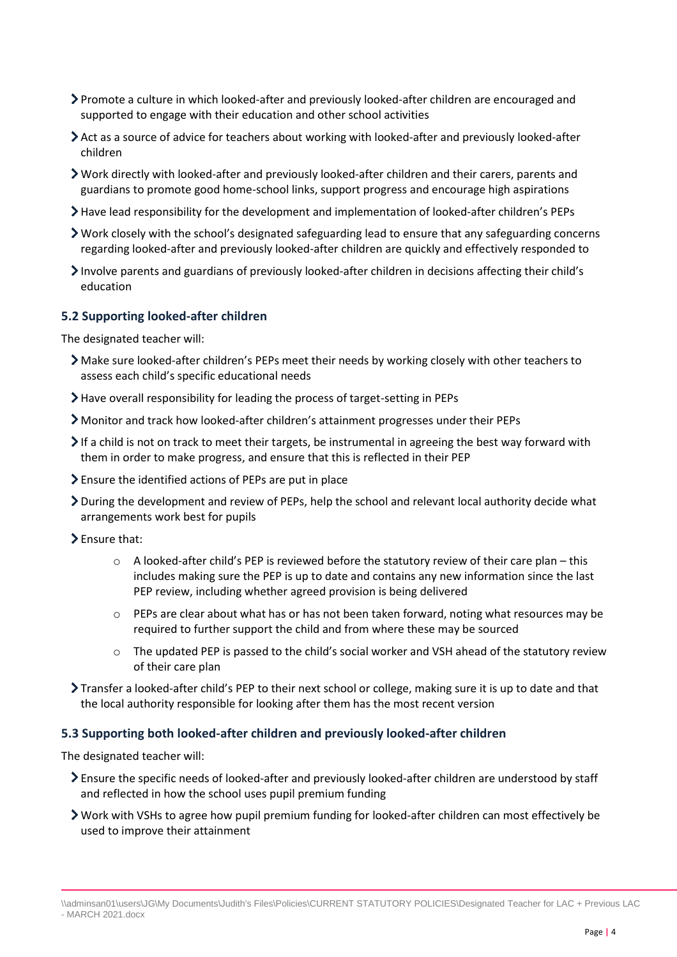- Promote a culture in which looked-after and previously looked-after children are encouraged and supported to engage with their education and other school activities
- Act as a source of advice for teachers about working with looked-after and previously looked-after children
- Work directly with looked-after and previously looked-after children and their carers, parents and guardians to promote good home-school links, support progress and encourage high aspirations
- Have lead responsibility for the development and implementation of looked-after children's PEPs
- Work closely with the school's designated safeguarding lead to ensure that any safeguarding concerns regarding looked-after and previously looked-after children are quickly and effectively responded to
- Involve parents and guardians of previously looked-after children in decisions affecting their child's education

#### **5.2 Supporting looked-after children**

The designated teacher will:

- Make sure looked-after children's PEPs meet their needs by working closely with other teachers to assess each child's specific educational needs
- Have overall responsibility for leading the process of target-setting in PEPs
- Monitor and track how looked-after children's attainment progresses under their PEPs
- $\triangleright$  If a child is not on track to meet their targets, be instrumental in agreeing the best way forward with them in order to make progress, and ensure that this is reflected in their PEP
- Ensure the identified actions of PEPs are put in place
- During the development and review of PEPs, help the school and relevant local authority decide what arrangements work best for pupils
- Ensure that:
	- $\circ$  A looked-after child's PEP is reviewed before the statutory review of their care plan this includes making sure the PEP is up to date and contains any new information since the last PEP review, including whether agreed provision is being delivered
	- $\circ$  PEPs are clear about what has or has not been taken forward, noting what resources may be required to further support the child and from where these may be sourced
	- o The updated PEP is passed to the child's social worker and VSH ahead of the statutory review of their care plan
- Transfer a looked-after child's PEP to their next school or college, making sure it is up to date and that the local authority responsible for looking after them has the most recent version

#### **5.3 Supporting both looked-after children and previously looked-after children**

The designated teacher will:

- Ensure the specific needs of looked-after and previously looked-after children are understood by staff and reflected in how the school uses pupil premium funding
- Work with VSHs to agree how pupil premium funding for looked-after children can most effectively be used to improve their attainment

<sup>\\</sup>adminsan01\users\JG\My Documents\Judith's Files\Policies\CURRENT STATUTORY POLICIES\Designated Teacher for LAC + Previous LAC - MARCH 2021.docx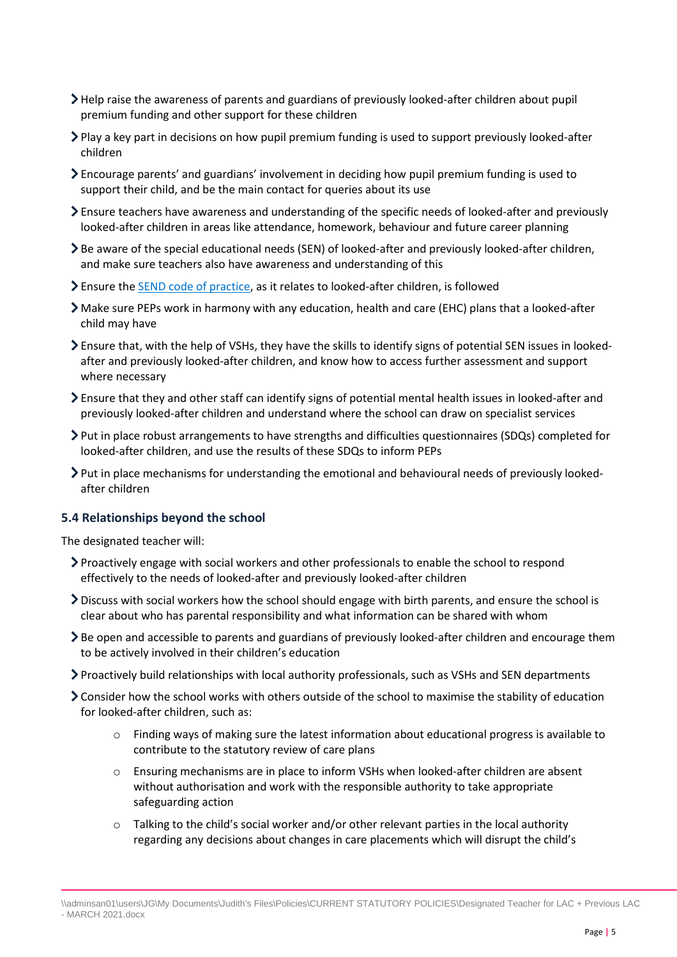- Help raise the awareness of parents and guardians of previously looked-after children about pupil premium funding and other support for these children
- Play a key part in decisions on how pupil premium funding is used to support previously looked-after children
- Encourage parents' and guardians' involvement in deciding how pupil premium funding is used to support their child, and be the main contact for queries about its use
- Ensure teachers have awareness and understanding of the specific needs of looked-after and previously looked-after children in areas like attendance, homework, behaviour and future career planning
- Be aware of the special educational needs (SEN) of looked-after and previously looked-after children, and make sure teachers also have awareness and understanding of this
- Ensure th[e SEND code of practice,](https://www.gov.uk/government/publications/send-code-of-practice-0-to-25) as it relates to looked-after children, is followed
- Make sure PEPs work in harmony with any education, health and care (EHC) plans that a looked-after child may have
- Ensure that, with the help of VSHs, they have the skills to identify signs of potential SEN issues in lookedafter and previously looked-after children, and know how to access further assessment and support where necessary
- Ensure that they and other staff can identify signs of potential mental health issues in looked-after and previously looked-after children and understand where the school can draw on specialist services
- Put in place robust arrangements to have strengths and difficulties questionnaires (SDQs) completed for looked-after children, and use the results of these SDQs to inform PEPs
- Put in place mechanisms for understanding the emotional and behavioural needs of previously lookedafter children

#### **5.4 Relationships beyond the school**

The designated teacher will:

- Proactively engage with social workers and other professionals to enable the school to respond effectively to the needs of looked-after and previously looked-after children
- Discuss with social workers how the school should engage with birth parents, and ensure the school is clear about who has parental responsibility and what information can be shared with whom
- Be open and accessible to parents and guardians of previously looked-after children and encourage them to be actively involved in their children's education
- Proactively build relationships with local authority professionals, such as VSHs and SEN departments
- Consider how the school works with others outside of the school to maximise the stability of education for looked-after children, such as:
	- o Finding ways of making sure the latest information about educational progress is available to contribute to the statutory review of care plans
	- $\circ$  Ensuring mechanisms are in place to inform VSHs when looked-after children are absent without authorisation and work with the responsible authority to take appropriate safeguarding action
	- o Talking to the child's social worker and/or other relevant parties in the local authority regarding any decisions about changes in care placements which will disrupt the child's

<sup>\\</sup>adminsan01\users\JG\My Documents\Judith's Files\Policies\CURRENT STATUTORY POLICIES\Designated Teacher for LAC + Previous LAC - MARCH 2021.docx